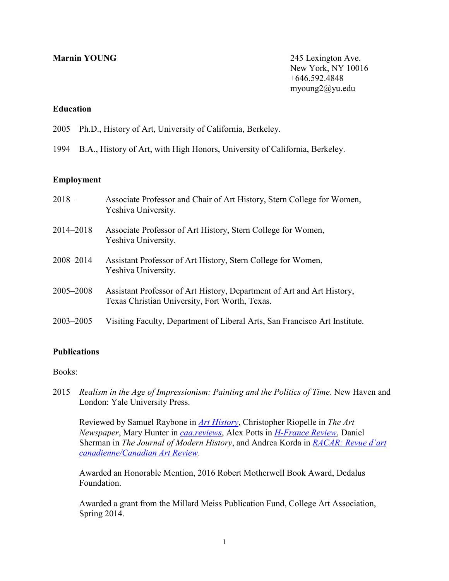**Marnin YOUNG** 245 Lexington Ave. New York, NY 10016 +646.592.4848 myoung2@yu.edu

# **Education**

- 2005 Ph.D., History of Art, University of California, Berkeley.
- 1994 B.A., History of Art, with High Honors, University of California, Berkeley.

## **Employment**

| $2018-$       | Associate Professor and Chair of Art History, Stern College for Women,<br>Yeshiva University.                            |
|---------------|--------------------------------------------------------------------------------------------------------------------------|
| 2014-2018     | Associate Professor of Art History, Stern College for Women,<br>Yeshiva University.                                      |
| 2008-2014     | Assistant Professor of Art History, Stern College for Women,<br>Yeshiva University.                                      |
| 2005-2008     | Assistant Professor of Art History, Department of Art and Art History,<br>Texas Christian University, Fort Worth, Texas. |
| $2003 - 2005$ | Visiting Faculty, Department of Liberal Arts, San Francisco Art Institute.                                               |

## **Publications**

### Books:

2015 *Realism in the Age of Impressionism: Painting and the Politics of Time*. New Haven and London: Yale University Press.

Reviewed by Samuel Raybone in *[Art History](https://onlinelibrary.wiley.com/doi/abs/10.1111/1467-8365.12221)*, Christopher Riopelle in *The Art Newspaper*, Mary Hunter in *[caa.reviews](http://www.caareviews.org/reviews/2749#.X388IygzbFg)*, Alex Potts in *[H-France Review](https://www.h-france.net/vol16reviews/vol16no142potts.pdf)*, Daniel Sherman in *The Journal of Modern History*, and Andrea Korda in *[RACAR: Revue d'art](https://www.erudit.org/en/journals/racar/2016-v41-n2-racar02822/1038080ar/)  [canadienne/Canadian Art Review](https://www.erudit.org/en/journals/racar/2016-v41-n2-racar02822/1038080ar/)*.

Awarded an Honorable Mention, 2016 Robert Motherwell Book Award, Dedalus Foundation.

Awarded a grant from the Millard Meiss Publication Fund, College Art Association, Spring 2014.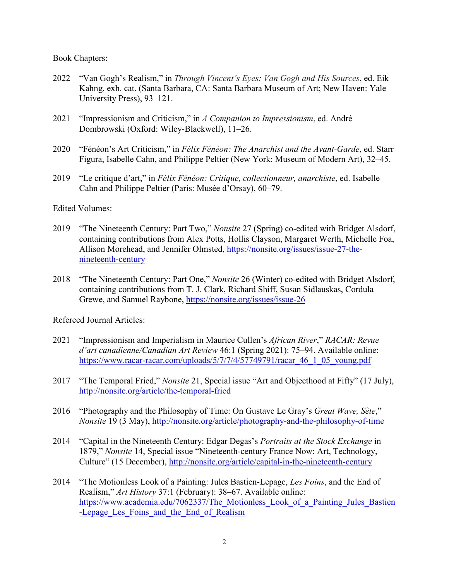Book Chapters:

- 2022 "Van Gogh's Realism," in *Through Vincent's Eyes: Van Gogh and His Sources*, ed. Eik Kahng, exh. cat. (Santa Barbara, CA: Santa Barbara Museum of Art; New Haven: Yale University Press), 93–121.
- 2021 "Impressionism and Criticism," in *A Companion to Impressionism*, ed. André Dombrowski (Oxford: Wiley-Blackwell), 11–26.
- 2020 "Fénéon's Art Criticism," in *Félix Fénéon: The Anarchist and the Avant-Garde*, ed. Starr Figura, Isabelle Cahn, and Philippe Peltier (New York: Museum of Modern Art), 32–45.
- 2019 "Le critique d'art," in *Félix Fénéon: Critique, collectionneur, anarchiste*, ed. Isabelle Cahn and Philippe Peltier (Paris: Musée d'Orsay), 60–79.

## Edited Volumes:

- 2019 "The Nineteenth Century: Part Two," *Nonsite* 27 (Spring) co-edited with Bridget Alsdorf, containing contributions from Alex Potts, Hollis Clayson, Margaret Werth, Michelle Foa, Allison Morehead, and Jennifer Olmsted, [https://nonsite.org/issues/issue-27-the](https://nonsite.org/issues/issue-27-the-)nineteenth-century
- 2018 "The Nineteenth Century: Part One," *Nonsite* 26 (Winter) co-edited with Bridget Alsdorf, containing contributions from T. J. Clark, Richard Shiff, Susan Sidlauskas, Cordula Grewe, and Samuel Raybone,<https://nonsite.org/issues/issue-26>

Refereed Journal Articles:

- 2021 "Impressionism and Imperialism in Maurice Cullen's *African River*," *RACAR: Revue d'art canadienne/Canadian Art Review* 46:1 (Spring 2021): 75–94. Available online: [https://www.racar-racar.com/uploads/5/7/7/4/57749791/racar\\_46\\_1\\_05\\_young.pdf](https://www.racar-racar.com/uploads/5/7/7/4/57749791/racar_46_1_05_young.pdf)
- 2017 "The Temporal Fried," *Nonsite* 21, Special issue "Art and Objecthood at Fifty" (17 July), <http://nonsite.org/article/the-temporal-fried>
- 2016 "Photography and the Philosophy of Time: On Gustave Le Gray's *Great Wave, Sète*," *Nonsite* 19 (3 May),<http://nonsite.org/article/photography-and-the-philosophy-of-time>
- 2014 "Capital in the Nineteenth Century: Edgar Degas's *Portraits at the Stock Exchange* in 1879," *Nonsite* 14, Special issue "Nineteenth-century France Now: Art, Technology, Culture" (15 December),<http://nonsite.org/article/capital-in-the-nineteenth-century>
- 2014 "The Motionless Look of a Painting: Jules Bastien-Lepage, *Les Foins*, and the End of Realism," *Art History* 37:1 (February): 38–67. Available online: https://www.academia.edu/7062337/The Motionless Look of a Painting Jules Bastien -Lepage Les Foins and the End of Realism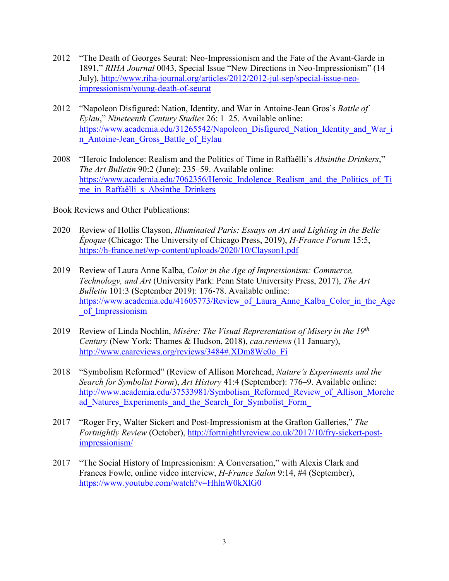- 2012 "The Death of Georges Seurat: Neo-Impressionism and the Fate of the Avant-Garde in 1891," *RIHA Journal* 0043, Special Issue "New Directions in Neo-Impressionism" (14 July), [http://www.riha-journal.org/articles/2012/2012-jul-sep/special-issue-neo](http://www.riha-journal.org/articles/2012/2012-jul-sep/special-issue-neo-impressionism/young-death-of-seurat)[impressionism/young-death-of-seurat](http://www.riha-journal.org/articles/2012/2012-jul-sep/special-issue-neo-impressionism/young-death-of-seurat)
- 2012 "Napoleon Disfigured: Nation, Identity, and War in Antoine-Jean Gros's *Battle of Eylau*," *Nineteenth Century Studies* 26: 1–25. Available online: [https://www.academia.edu/31265542/Napoleon\\_Disfigured\\_Nation\\_Identity\\_and\\_War\\_i](https://www.academia.edu/31265542/Napoleon_Disfigured_Nation_Identity_and_War_in_Antoine-Jean_Gross_Battle_of_Eylau) n Antoine-Jean Gross Battle of Eylau
- 2008 "Heroic Indolence: Realism and the Politics of Time in Raffaëlli's *Absinthe Drinkers*," *The Art Bulletin* 90:2 (June): 235–59. Available online: [https://www.academia.edu/7062356/Heroic\\_Indolence\\_Realism\\_and\\_the\\_Politics\\_of\\_Ti](https://www.academia.edu/7062356/Heroic_Indolence_Realism_and_the_Politics_of_Time_in_Raffa%C3%ABlli_s_Absinthe_Drinkers) me in Raffaëlli s Absinthe Drinkers

Book Reviews and Other Publications:

- 2020 Review of Hollis Clayson, *Illuminated Paris: Essays on Art and Lighting in the Belle Époque* (Chicago: The University of Chicago Press, 2019), *H-France Forum* 15:5, <https://h-france.net/wp-content/uploads/2020/10/Clayson1.pdf>
- 2019 Review of Laura Anne Kalba, *Color in the Age of Impressionism: Commerce, Technology, and Art* (University Park: Penn State University Press, 2017), *The Art Bulletin* 101:3 (September 2019): 176-78. Available online: https://www.academia.edu/41605773/Review of Laura Anne Kalba Color in the Age of Impressionism
- 2019 Review of Linda Nochlin, *Misère: The Visual Representation of Misery in the 19th Century* (New York: Thames & Hudson, 2018), *caa.reviews* (11 January), [http://www.caareviews.org/reviews/3484#.XDm8Wc0o\\_Fi](http://www.caareviews.org/reviews/3484#.XDm8Wc0o_Fi)
- 2018 "Symbolism Reformed" (Review of Allison Morehead, *Nature's Experiments and the Search for Symbolist Form*), *Art History* 41:4 (September): 776–9. Available online: [http://www.academia.edu/37533981/Symbolism\\_Reformed\\_Review\\_of\\_Allison\\_Morehe](http://www.academia.edu/37533981/Symbolism_Reformed_Review_of_Allison_Morehead_Natures_Experiments_and_the_Search_for_Symbolist_Form_) ad Natures Experiments and the Search for Symbolist Form
- 2017 "Roger Fry, Walter Sickert and Post-Impressionism at the Grafton Galleries," *The Fortnightly Review* (October), [http://fortnightlyreview.co.uk/2017/10/fry-sickert-post](http://fortnightlyreview.co.uk/2017/10/fry-sickert-post-impressionism/)[impressionism/](http://fortnightlyreview.co.uk/2017/10/fry-sickert-post-impressionism/)
- 2017 "The Social History of Impressionism: A Conversation," with Alexis Clark and Frances Fowle, online video interview, *H-France Salon* 9:14, #4 (September), <https://www.youtube.com/watch?v=HhlnW0kXlG0>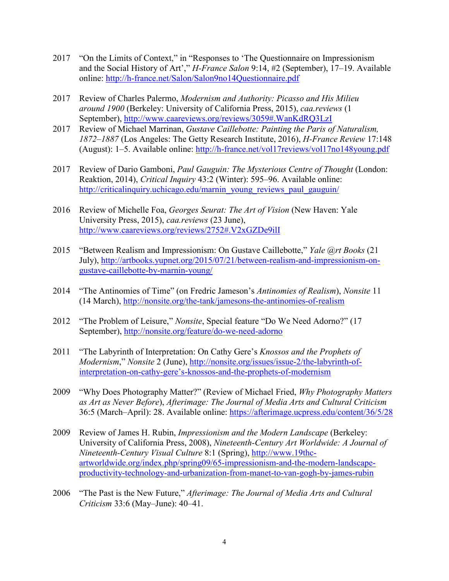- 2017 "On the Limits of Context," in "Responses to 'The Questionnaire on Impressionism and the Social History of Art'," *H-France Salon* 9:14, #2 (September), 17–19. Available online:<http://h-france.net/Salon/Salon9no14Questionnaire.pdf>
- 2017 Review of Charles Palermo, *Modernism and Authority: Picasso and His Milieu around 1900* (Berkeley: University of California Press, 2015), *caa.reviews* (1 September),<http://www.caareviews.org/reviews/3059#.WanKdRQ3LzI>
- 2017 Review of Michael Marrinan, *Gustave Caillebotte: Painting the Paris of Naturalism, 1872–1887* (Los Angeles: The Getty Research Institute, 2016), *H-France Review* 17:148 (August): 1–5. Available online:<http://h-france.net/vol17reviews/vol17no148young.pdf>
- 2017 Review of Dario Gamboni, *Paul Gauguin: The Mysterious Centre of Thought* (London: Reaktion, 2014), *Critical Inquiry* 43:2 (Winter): 595–96. Available online: [http://criticalinquiry.uchicago.edu/marnin\\_young\\_reviews\\_paul\\_gauguin/](http://criticalinquiry.uchicago.edu/marnin_young_reviews_paul_gauguin/)
- 2016 Review of Michelle Foa, *Georges Seurat: The Art of Vision* (New Haven: Yale University Press, 2015), *caa.reviews* (23 June), <http://www.caareviews.org/reviews/2752#.V2xGZDe9ilI>
- 2015 "Between Realism and Impressionism: On Gustave Caillebotte," *Yale @rt Books* (21 July), [http://artbooks.yupnet.org/2015/07/21/between-realism-and-impressionism-on](http://artbooks.yupnet.org/2015/07/21/between-realism-and-impressionism-on-gustave-caillebotte-by-marnin-young/)[gustave-caillebotte-by-marnin-young/](http://artbooks.yupnet.org/2015/07/21/between-realism-and-impressionism-on-gustave-caillebotte-by-marnin-young/)
- 2014 "The Antinomies of Time" (on Fredric Jameson's *Antinomies of Realism*), *Nonsite* 11 (14 March),<http://nonsite.org/the-tank/jamesons-the-antinomies-of-realism>
- 2012 "The Problem of Leisure," *Nonsite*, Special feature "Do We Need Adorno?" (17 September),<http://nonsite.org/feature/do-we-need-adorno>
- 2011 "The Labyrinth of Interpretation: On Cathy Gere's *Knossos and the Prophets of Modernism*," *Nonsite* 2 (June), [http://nonsite.org/issues/issue-2/the-labyrinth-of](http://nonsite.org/issues/issue-2/the-labyrinth-of-interpretation-on-cathy-gere)[interpretation-on-cathy-gere's-knossos-and-the-prophets-of-modernism](http://nonsite.org/issues/issue-2/the-labyrinth-of-interpretation-on-cathy-gere)
- 2009 "Why Does Photography Matter?" (Review of Michael Fried, *Why Photography Matters as Art as Never Before*), *Afterimage: The Journal of Media Arts and Cultural Criticism* 36:5 (March–April): 28. Available online:<https://afterimage.ucpress.edu/content/36/5/28>
- 2009 Review of James H. Rubin, *Impressionism and the Modern Landscape* (Berkeley: University of California Press, 2008), *Nineteenth-Century Art Worldwide: A Journal of Nineteenth-Century Visual Culture* 8:1 (Spring), [http://www.19thc](http://www.19thc-artworldwide.org/index.php/spring09/65-impressionism-and-the-modern-landscape-productivity-technology-and-urbanization-from-manet-to-van-gogh-by-james-rubin)[artworldwide.org/index.php/spring09/65-impressionism-and-the-modern-landscape](http://www.19thc-artworldwide.org/index.php/spring09/65-impressionism-and-the-modern-landscape-productivity-technology-and-urbanization-from-manet-to-van-gogh-by-james-rubin)[productivity-technology-and-urbanization-from-manet-to-van-gogh-by-james-rubin](http://www.19thc-artworldwide.org/index.php/spring09/65-impressionism-and-the-modern-landscape-productivity-technology-and-urbanization-from-manet-to-van-gogh-by-james-rubin)
- 2006 "The Past is the New Future," *Afterimage: The Journal of Media Arts and Cultural Criticism* 33:6 (May–June): 40–41.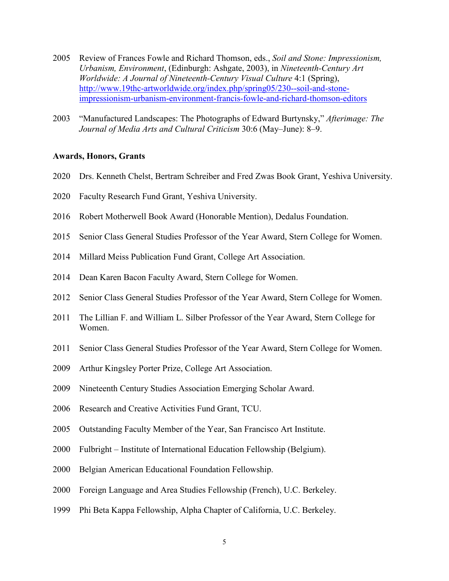- Review of Frances Fowle and Richard Thomson, eds., *Soil and Stone: Impressionism, Urbanism, Environment*, (Edinburgh: Ashgate, 2003), in *Nineteenth-Century Art Worldwide: A Journal of Nineteenth-Century Visual Culture* 4:1 (Spring), [http://www.19thc-artworldwide.org/index.php/spring05/230--soil-and-stone](http://www.19thc-artworldwide.org/index.php/spring05/230--soil-and-stone-impressionism-urbanism-environment-francis-fowle-and-richard-thomson-editors)[impressionism-urbanism-environment-francis-fowle-and-richard-thomson-editors](http://www.19thc-artworldwide.org/index.php/spring05/230--soil-and-stone-impressionism-urbanism-environment-francis-fowle-and-richard-thomson-editors)
- "Manufactured Landscapes: The Photographs of Edward Burtynsky," *Afterimage: The Journal of Media Arts and Cultural Criticism* 30:6 (May–June): 8–9.

#### **Awards, Honors, Grants**

- Drs. Kenneth Chelst, Bertram Schreiber and Fred Zwas Book Grant, Yeshiva University.
- Faculty Research Fund Grant, Yeshiva University.
- 2016 Robert Motherwell Book Award (Honorable Mention), Dedalus Foundation.
- Senior Class General Studies Professor of the Year Award, Stern College for Women.
- Millard Meiss Publication Fund Grant, College Art Association.
- Dean Karen Bacon Faculty Award, Stern College for Women.
- 2012 Senior Class General Studies Professor of the Year Award, Stern College for Women.
- The Lillian F. and William L. Silber Professor of the Year Award, Stern College for Women.
- Senior Class General Studies Professor of the Year Award, Stern College for Women.
- Arthur Kingsley Porter Prize, College Art Association.
- Nineteenth Century Studies Association Emerging Scholar Award.
- Research and Creative Activities Fund Grant, TCU.
- Outstanding Faculty Member of the Year, San Francisco Art Institute.
- Fulbright Institute of International Education Fellowship (Belgium).
- Belgian American Educational Foundation Fellowship.
- Foreign Language and Area Studies Fellowship (French), U.C. Berkeley.
- Phi Beta Kappa Fellowship, Alpha Chapter of California, U.C. Berkeley.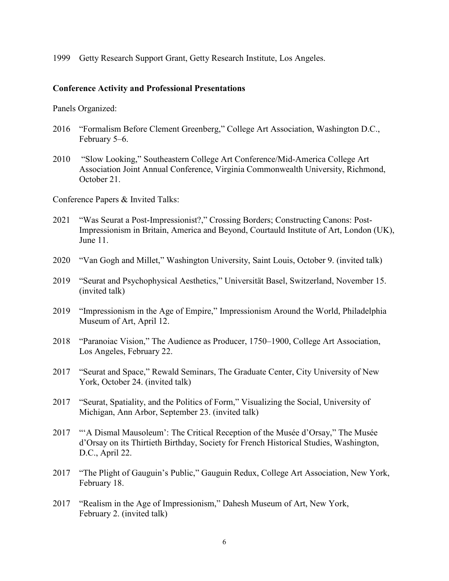1999 Getty Research Support Grant, Getty Research Institute, Los Angeles.

## **Conference Activity and Professional Presentations**

Panels Organized:

- 2016 "Formalism Before Clement Greenberg," College Art Association, Washington D.C., February 5–6.
- 2010 "Slow Looking," Southeastern College Art Conference/Mid-America College Art Association Joint Annual Conference, Virginia Commonwealth University, Richmond, October 21.

Conference Papers & Invited Talks:

- 2021 "Was Seurat a Post-Impressionist?," Crossing Borders; Constructing Canons: Post-Impressionism in Britain, America and Beyond, Courtauld Institute of Art, London (UK), June 11.
- 2020 "Van Gogh and Millet," Washington University, Saint Louis, October 9. (invited talk)
- 2019 "Seurat and Psychophysical Aesthetics," Universität Basel, Switzerland, November 15. (invited talk)
- 2019 "Impressionism in the Age of Empire," Impressionism Around the World, Philadelphia Museum of Art, April 12.
- 2018 "Paranoiac Vision," The Audience as Producer, 1750–1900, College Art Association, Los Angeles, February 22.
- 2017 "Seurat and Space," Rewald Seminars, The Graduate Center, City University of New York, October 24. (invited talk)
- 2017 "Seurat, Spatiality, and the Politics of Form," Visualizing the Social, University of Michigan, Ann Arbor, September 23. (invited talk)
- 2017 "'A Dismal Mausoleum': The Critical Reception of the Musée d'Orsay," The Musée d'Orsay on its Thirtieth Birthday, Society for French Historical Studies, Washington, D.C., April 22.
- 2017 "The Plight of Gauguin's Public," Gauguin Redux, College Art Association, New York, February 18.
- 2017 "Realism in the Age of Impressionism," Dahesh Museum of Art, New York, February 2. (invited talk)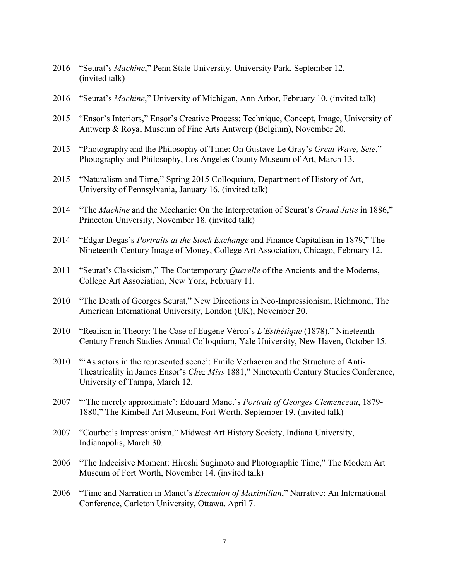- 2016 "Seurat's *Machine*," Penn State University, University Park, September 12. (invited talk)
- 2016 "Seurat's *Machine*," University of Michigan, Ann Arbor, February 10. (invited talk)
- 2015 "Ensor's Interiors," Ensor's Creative Process: Technique, Concept, Image, University of Antwerp & Royal Museum of Fine Arts Antwerp (Belgium), November 20.
- 2015 "Photography and the Philosophy of Time: On Gustave Le Gray's *Great Wave, Sète*," Photography and Philosophy, Los Angeles County Museum of Art, March 13.
- 2015 "Naturalism and Time," Spring 2015 Colloquium, Department of History of Art, University of Pennsylvania, January 16. (invited talk)
- 2014 "The *Machine* and the Mechanic: On the Interpretation of Seurat's *Grand Jatte* in 1886," Princeton University, November 18. (invited talk)
- 2014 "Edgar Degas's *Portraits at the Stock Exchange* and Finance Capitalism in 1879," The Nineteenth-Century Image of Money, College Art Association, Chicago, February 12.
- 2011 "Seurat's Classicism," The Contemporary *Querelle* of the Ancients and the Moderns, College Art Association, New York, February 11.
- 2010 "The Death of Georges Seurat," New Directions in Neo-Impressionism, Richmond, The American International University, London (UK), November 20.
- 2010 "Realism in Theory: The Case of Eugène Véron's *L'Esthétique* (1878)," Nineteenth Century French Studies Annual Colloquium, Yale University, New Haven, October 15.
- 2010 "'As actors in the represented scene': Emile Verhaeren and the Structure of Anti-Theatricality in James Ensor's *Chez Miss* 1881," Nineteenth Century Studies Conference, University of Tampa, March 12.
- 2007 "'The merely approximate': Edouard Manet's *Portrait of Georges Clemenceau*, 1879- 1880," The Kimbell Art Museum, Fort Worth, September 19. (invited talk)
- 2007 "Courbet's Impressionism," Midwest Art History Society, Indiana University, Indianapolis, March 30.
- 2006 "The Indecisive Moment: Hiroshi Sugimoto and Photographic Time," The Modern Art Museum of Fort Worth, November 14. (invited talk)
- 2006 "Time and Narration in Manet's *Execution of Maximilian*," Narrative: An International Conference, Carleton University, Ottawa, April 7.